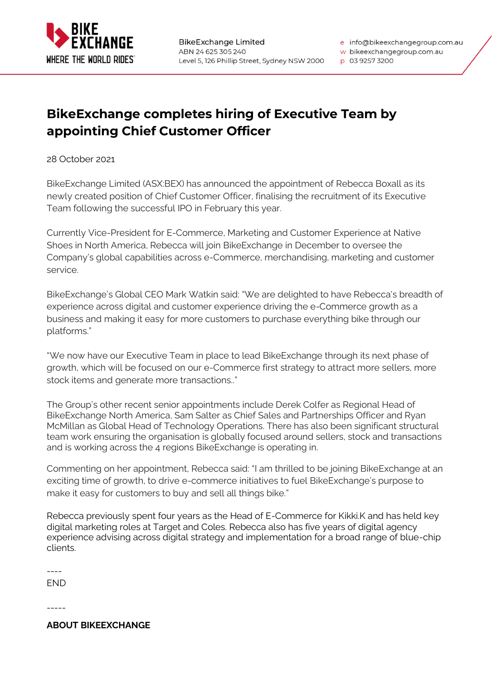

e info@bikeexchangegroup.com.au w bikeexchangegroup.com.au

## p 03 9257 3200

## **BikeExchange completes hiring of Executive Team by appointing Chief Customer Officer**

28 October 2021

BikeExchange Limited (ASX:BEX) has announced the appointment of Rebecca Boxall as its newly created position of Chief Customer Officer, finalising the recruitment of its Executive Team following the successful IPO in February this year.

Currently Vice-President for E-Commerce, Marketing and Customer Experience at Native Shoes in North America, Rebecca will join BikeExchange in December to oversee the Company's global capabilities across e-Commerce, merchandising, marketing and customer service.

BikeExchange's Global CEO Mark Watkin said: "We are delighted to have Rebecca's breadth of experience across digital and customer experience driving the e-Commerce growth as a business and making it easy for more customers to purchase everything bike through our platforms."

"We now have our Executive Team in place to lead BikeExchange through its next phase of growth, which will be focused on our e-Commerce first strategy to attract more sellers, more stock items and generate more transactions.."

The Group's other recent senior appointments include Derek Colfer as Regional Head of BikeExchange North America, Sam Salter as Chief Sales and Partnerships Officer and Ryan McMillan as Global Head of Technology Operations. There has also been significant structural team work ensuring the organisation is globally focused around sellers, stock and transactions and is working across the 4 regions BikeExchange is operating in.

Commenting on her appointment, Rebecca said: "I am thrilled to be joining BikeExchange at an exciting time of growth, to drive e-commerce initiatives to fuel BikeExchange's purpose to make it easy for customers to buy and sell all things bike."

Rebecca previously spent four years as the Head of E-Commerce for Kikki.K and has held key digital marketing roles at Target and Coles. Rebecca also has five years of digital agency experience advising across digital strategy and implementation for a broad range of blue-chip clients.

----

END

-----

**ABOUT BIKEEXCHANGE**